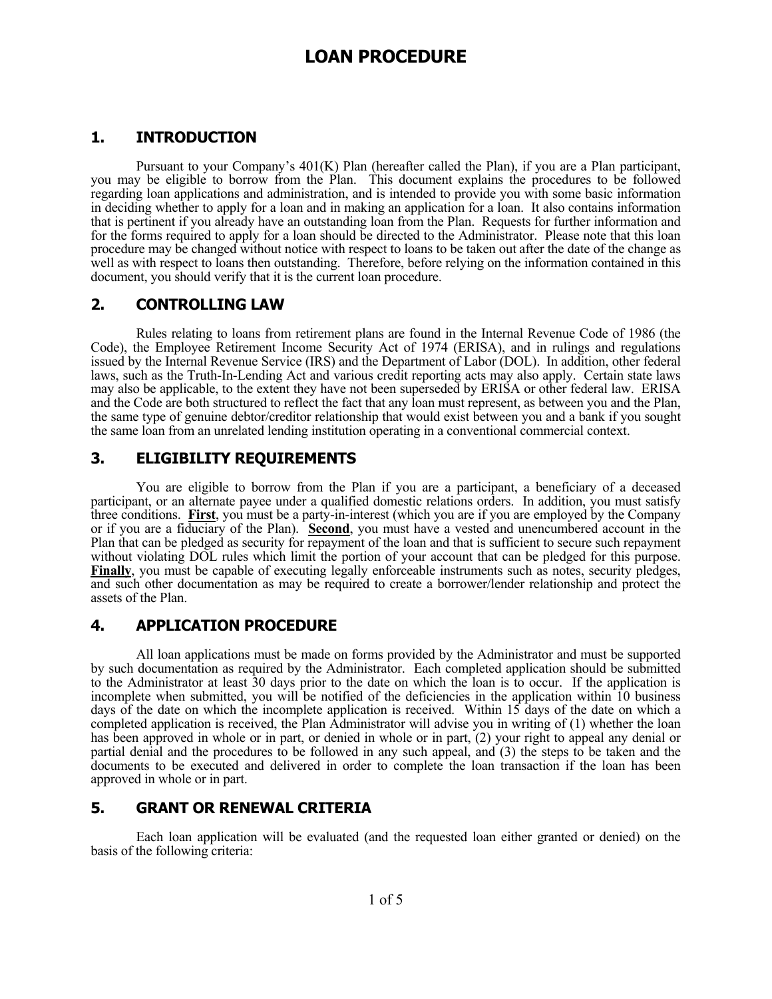# **LOAN PROCEDURE**

### **1. INTRODUCTION**

 Pursuant to your Company's 401(K) Plan (hereafter called the Plan), if you are a Plan participant, you may be eligible to borrow from the Plan. This document explains the procedures to be followed regarding loan applications and administration, and is intended to provide you with some basic information in deciding whether to apply for a loan and in making an application for a loan. It also contains information that is pertinent if you already have an outstanding loan from the Plan. Requests for further information and for the forms required to apply for a loan should be directed to the Administrator. Please note that this loan procedure may be changed without notice with respect to loans to be taken out after the date of the change as well as with respect to loans then outstanding. Therefore, before relying on the information contained in this document, you should verify that it is the current loan procedure.

#### **2. CONTROLLING LAW**

 Rules relating to loans from retirement plans are found in the Internal Revenue Code of 1986 (the Code), the Employee Retirement Income Security Act of 1974 (ERISA), and in rulings and regulations issued by the Internal Revenue Service (IRS) and the Department of Labor (DOL). In addition, other federal laws, such as the Truth-In-Lending Act and various credit reporting acts may also apply. Certain state laws may also be applicable, to the extent they have not been superseded by ERISA or other federal law. ERISA and the Code are both structured to reflect the fact that any loan must represent, as between you and the Plan, the same type of genuine debtor/creditor relationship that would exist between you and a bank if you sought the same loan from an unrelated lending institution operating in a conventional commercial context.

## **3. ELIGIBILITY REQUIREMENTS**

 You are eligible to borrow from the Plan if you are a participant, a beneficiary of a deceased participant, or an alternate payee under a qualified domestic relations orders. In addition, you must satisfy three conditions. **First**, you must be a party-in-interest (which you are if you are employed by the Company or if you are a fiduciary of the Plan). **Second**, you must have a vested and unencumbered account in the Plan that can be pledged as security for repayment of the loan and that is sufficient to secure such repayment without violating DOL rules which limit the portion of your account that can be pledged for this purpose. **Finally**, you must be capable of executing legally enforceable instruments such as notes, security pledges, and such other documentation as may be required to create a borrower/lender relationship and protect the assets of the Plan.

#### **4. APPLICATION PROCEDURE**

 All loan applications must be made on forms provided by the Administrator and must be supported by such documentation as required by the Administrator. Each completed application should be submitted to the Administrator at least 30 days prior to the date on which the loan is to occur. If the application is incomplete when submitted, you will be notified of the deficiencies in the application within 10 business days of the date on which the incomplete application is received. Within 15 days of the date on which a completed application is received, the Plan Administrator will advise you in writing of (1) whether the loan has been approved in whole or in part, or denied in whole or in part, (2) your right to appeal any denial or partial denial and the procedures to be followed in any such appeal, and (3) the steps to be taken and the documents to be executed and delivered in order to complete the loan transaction if the loan has been approved in whole or in part.

#### **5. GRANT OR RENEWAL CRITERIA**

 Each loan application will be evaluated (and the requested loan either granted or denied) on the basis of the following criteria: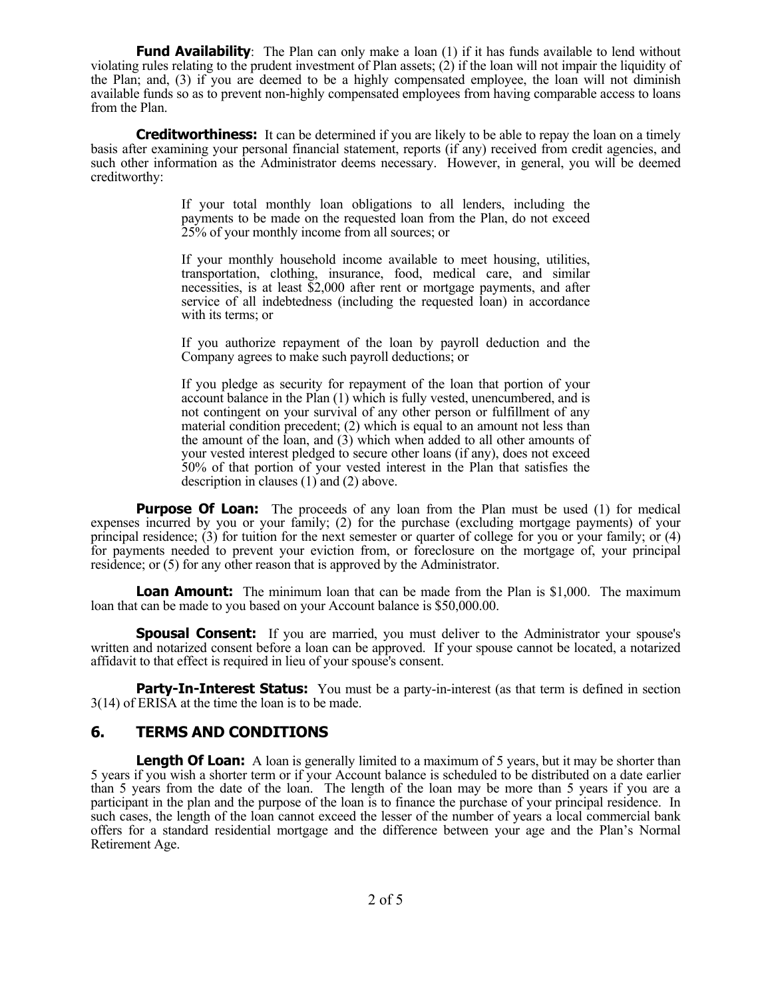**Fund Availability**: The Plan can only make a loan (1) if it has funds available to lend without violating rules relating to the prudent investment of Plan assets;  $(2)$  if the loan will not impair the liquidity of the Plan; and, (3) if you are deemed to be a highly compensated employee, the loan will not diminish available funds so as to prevent non-highly compensated employees from having comparable access to loans from the Plan.

**Creditworthiness:** It can be determined if you are likely to be able to repay the loan on a timely basis after examining your personal financial statement, reports (if any) received from credit agencies, and such other information as the Administrator deems necessary. However, in general, you will be deemed creditworthy:

> If your total monthly loan obligations to all lenders, including the payments to be made on the requested loan from the Plan, do not exceed 25% of your monthly income from all sources; or

> If your monthly household income available to meet housing, utilities, transportation, clothing, insurance, food, medical care, and similar necessities, is at least \$2,000 after rent or mortgage payments, and after service of all indebtedness (including the requested loan) in accordance with its terms; or

> If you authorize repayment of the loan by payroll deduction and the Company agrees to make such payroll deductions; or

> If you pledge as security for repayment of the loan that portion of your account balance in the Plan (1) which is fully vested, unencumbered, and is not contingent on your survival of any other person or fulfillment of any material condition precedent; (2) which is equal to an amount not less than the amount of the loan, and (3) which when added to all other amounts of your vested interest pledged to secure other loans (if any), does not exceed 50% of that portion of your vested interest in the Plan that satisfies the description in clauses (1) and (2) above.

**Purpose Of Loan:** The proceeds of any loan from the Plan must be used (1) for medical expenses incurred by you or your family; (2) for the purchase (excluding mortgage payments) of your principal residence; (3) for tuition for the next semester or quarter of college for you or your family; or (4) for payments needed to prevent your eviction from, or foreclosure on the mortgage of, your principal residence; or (5) for any other reason that is approved by the Administrator.

**Loan Amount:** The minimum loan that can be made from the Plan is \$1,000. The maximum loan that can be made to you based on your Account balance is \$50,000.00.

**Spousal Consent:** If you are married, you must deliver to the Administrator your spouse's written and notarized consent before a loan can be approved. If your spouse cannot be located, a notarized affidavit to that effect is required in lieu of your spouse's consent.

**Party-In-Interest Status:** You must be a party-in-interest (as that term is defined in section 3(14) of ERISA at the time the loan is to be made.

#### **6. TERMS AND CONDITIONS**

**Length Of Loan:** A loan is generally limited to a maximum of 5 years, but it may be shorter than 5 years if you wish a shorter term or if your Account balance is scheduled to be distributed on a date earlier than 5 years from the date of the loan. The length of the loan may be more than 5 years if you are a participant in the plan and the purpose of the loan is to finance the purchase of your principal residence. In such cases, the length of the loan cannot exceed the lesser of the number of years a local commercial bank offers for a standard residential mortgage and the difference between your age and the Plan's Normal Retirement Age.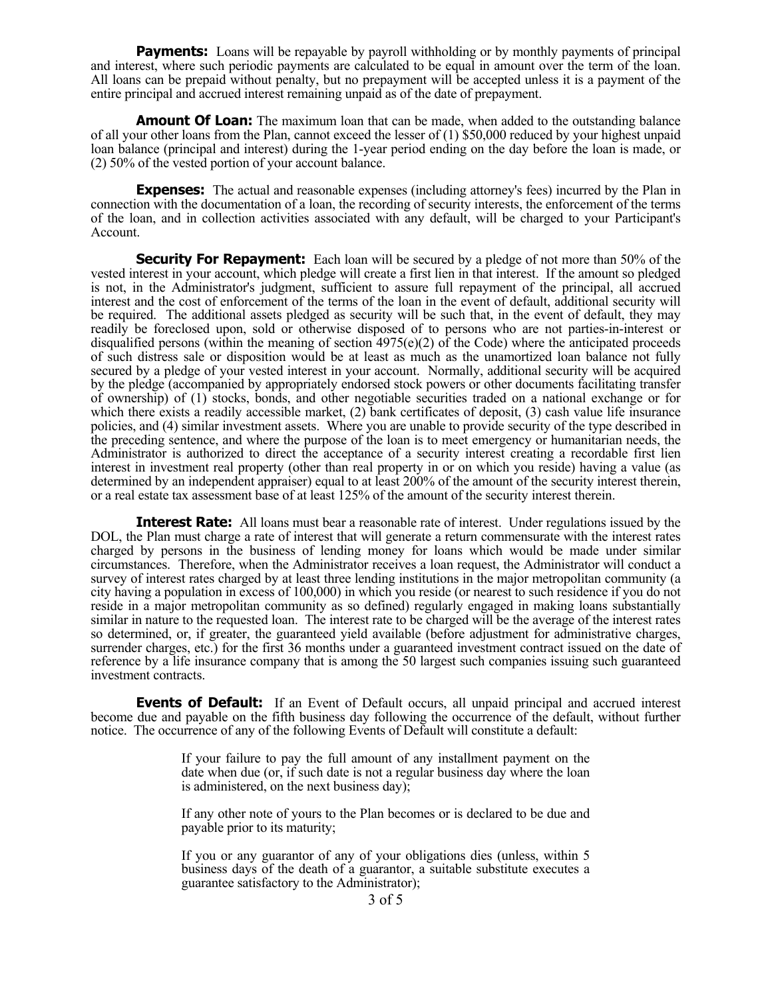**Payments:** Loans will be repayable by payroll withholding or by monthly payments of principal and interest, where such periodic payments are calculated to be equal in amount over the term of the loan. All loans can be prepaid without penalty, but no prepayment will be accepted unless it is a payment of the entire principal and accrued interest remaining unpaid as of the date of prepayment.

**Amount Of Loan:** The maximum loan that can be made, when added to the outstanding balance of all your other loans from the Plan, cannot exceed the lesser of (1) \$50,000 reduced by your highest unpaid loan balance (principal and interest) during the 1-year period ending on the day before the loan is made, or (2) 50% of the vested portion of your account balance.

**Expenses:** The actual and reasonable expenses (including attorney's fees) incurred by the Plan in connection with the documentation of a loan, the recording of security interests, the enforcement of the terms of the loan, and in collection activities associated with any default, will be charged to your Participant's Account.

**Security For Repayment:** Each loan will be secured by a pledge of not more than 50% of the vested interest in your account, which pledge will create a first lien in that interest. If the amount so pledged is not, in the Administrator's judgment, sufficient to assure full repayment of the principal, all accrued interest and the cost of enforcement of the terms of the loan in the event of default, additional security will be required. The additional assets pledged as security will be such that, in the event of default, they may readily be foreclosed upon, sold or otherwise disposed of to persons who are not parties-in-interest or disqualified persons (within the meaning of section  $4975(e)(2)$  of the Code) where the anticipated proceeds of such distress sale or disposition would be at least as much as the unamortized loan balance not fully secured by a pledge of your vested interest in your account. Normally, additional security will be acquired by the pledge (accompanied by appropriately endorsed stock powers or other documents facilitating transfer of ownership) of (1) stocks, bonds, and other negotiable securities traded on a national exchange or for which there exists a readily accessible market, (2) bank certificates of deposit, (3) cash value life insurance policies, and (4) similar investment assets. Where you are unable to provide security of the type described in the preceding sentence, and where the purpose of the loan is to meet emergency or humanitarian needs, the Administrator is authorized to direct the acceptance of a security interest creating a recordable first lien interest in investment real property (other than real property in or on which you reside) having a value (as determined by an independent appraiser) equal to at least 200% of the amount of the security interest therein, or a real estate tax assessment base of at least 125% of the amount of the security interest therein.

**Interest Rate:** All loans must bear a reasonable rate of interest. Under regulations issued by the DOL, the Plan must charge a rate of interest that will generate a return commensurate with the interest rates charged by persons in the business of lending money for loans which would be made under similar circumstances. Therefore, when the Administrator receives a loan request, the Administrator will conduct a survey of interest rates charged by at least three lending institutions in the major metropolitan community (a city having a population in excess of 100,000) in which you reside (or nearest to such residence if you do not reside in a major metropolitan community as so defined) regularly engaged in making loans substantially similar in nature to the requested loan. The interest rate to be charged will be the average of the interest rates so determined, or, if greater, the guaranteed yield available (before adjustment for administrative charges, surrender charges, etc.) for the first 36 months under a guaranteed investment contract issued on the date of reference by a life insurance company that is among the 50 largest such companies issuing such guaranteed investment contracts.

**Events of Default:** If an Event of Default occurs, all unpaid principal and accrued interest become due and payable on the fifth business day following the occurrence of the default, without further notice. The occurrence of any of the following Events of Default will constitute a default:

> If your failure to pay the full amount of any installment payment on the date when due (or, if such date is not a regular business day where the loan is administered, on the next business day);

> If any other note of yours to the Plan becomes or is declared to be due and payable prior to its maturity;

> If you or any guarantor of any of your obligations dies (unless, within 5 business days of the death of a guarantor, a suitable substitute executes a guarantee satisfactory to the Administrator);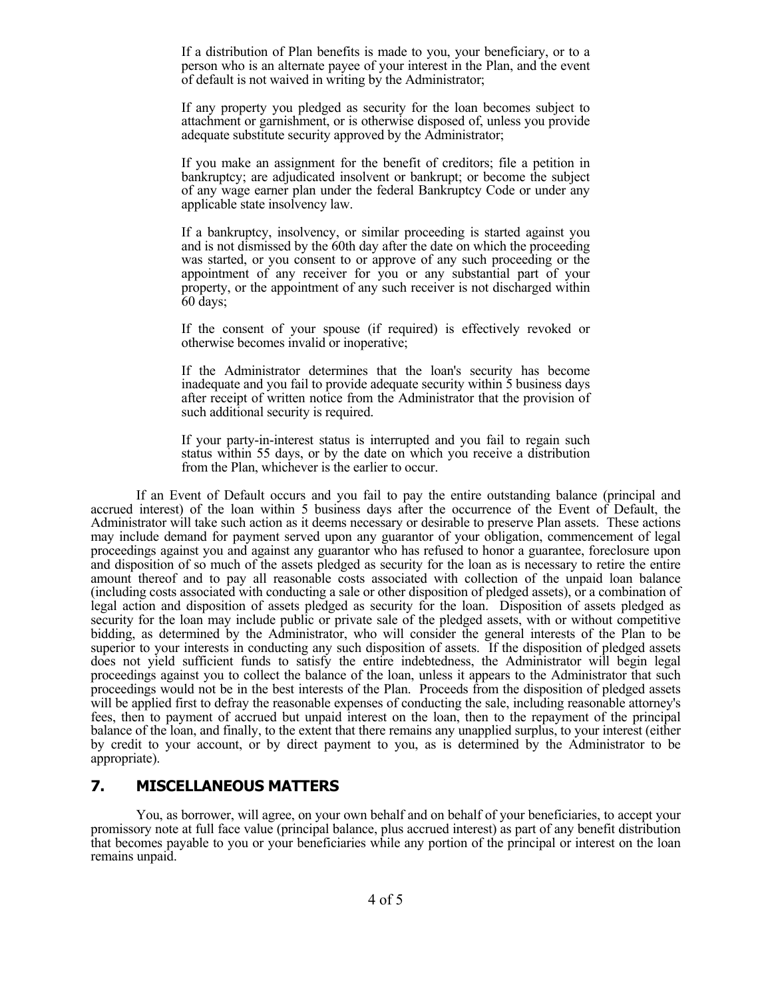If a distribution of Plan benefits is made to you, your beneficiary, or to a person who is an alternate payee of your interest in the Plan, and the event of default is not waived in writing by the Administrator;

 If any property you pledged as security for the loan becomes subject to attachment or garnishment, or is otherwise disposed of, unless you provide adequate substitute security approved by the Administrator;

 If you make an assignment for the benefit of creditors; file a petition in bankruptcy; are adjudicated insolvent or bankrupt; or become the subject of any wage earner plan under the federal Bankruptcy Code or under any applicable state insolvency law.

 If a bankruptcy, insolvency, or similar proceeding is started against you and is not dismissed by the 60th day after the date on which the proceeding was started, or you consent to or approve of any such proceeding or the appointment of any receiver for you or any substantial part of your property, or the appointment of any such receiver is not discharged within 60 days;

 If the consent of your spouse (if required) is effectively revoked or otherwise becomes invalid or inoperative;

 If the Administrator determines that the loan's security has become inadequate and you fail to provide adequate security within 5 business days after receipt of written notice from the Administrator that the provision of such additional security is required.

 If your party-in-interest status is interrupted and you fail to regain such status within 55 days, or by the date on which you receive a distribution from the Plan, whichever is the earlier to occur.

 If an Event of Default occurs and you fail to pay the entire outstanding balance (principal and accrued interest) of the loan within 5 business days after the occurrence of the Event of Default, the Administrator will take such action as it deems necessary or desirable to preserve Plan assets. These actions may include demand for payment served upon any guarantor of your obligation, commencement of legal proceedings against you and against any guarantor who has refused to honor a guarantee, foreclosure upon and disposition of so much of the assets pledged as security for the loan as is necessary to retire the entire amount thereof and to pay all reasonable costs associated with collection of the unpaid loan balance (including costs associated with conducting a sale or other disposition of pledged assets), or a combination of legal action and disposition of assets pledged as security for the loan. Disposition of assets pledged as security for the loan may include public or private sale of the pledged assets, with or without competitive bidding, as determined by the Administrator, who will consider the general interests of the Plan to be superior to your interests in conducting any such disposition of assets. If the disposition of pledged assets does not yield sufficient funds to satisfy the entire indebtedness, the Administrator will begin legal proceedings against you to collect the balance of the loan, unless it appears to the Administrator that such proceedings would not be in the best interests of the Plan. Proceeds from the disposition of pledged assets will be applied first to defray the reasonable expenses of conducting the sale, including reasonable attorney's fees, then to payment of accrued but unpaid interest on the loan, then to the repayment of the principal balance of the loan, and finally, to the extent that there remains any unapplied surplus, to your interest (either by credit to your account, or by direct payment to you, as is determined by the Administrator to be appropriate).

#### **7. MISCELLANEOUS MATTERS**

 You, as borrower, will agree, on your own behalf and on behalf of your beneficiaries, to accept your promissory note at full face value (principal balance, plus accrued interest) as part of any benefit distribution that becomes payable to you or your beneficiaries while any portion of the principal or interest on the loan remains unpaid.